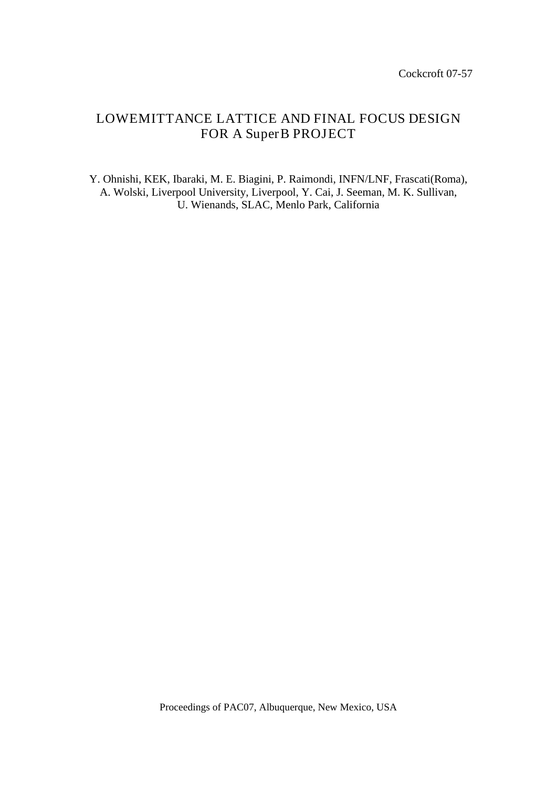# LOWEMITTANCE LATTICE AND FINAL FOCUS DESIGN FOR A SuperB PROJECT

Y. Ohnishi, KEK, Ibaraki, M. E. Biagini, P. Raimondi, INFN/LNF, Frascati(Roma), A. Wolski, Liverpool University, Liverpool, Y. Cai, J. Seeman, M. K. Sullivan, U. Wienands, SLAC, Menlo Park, California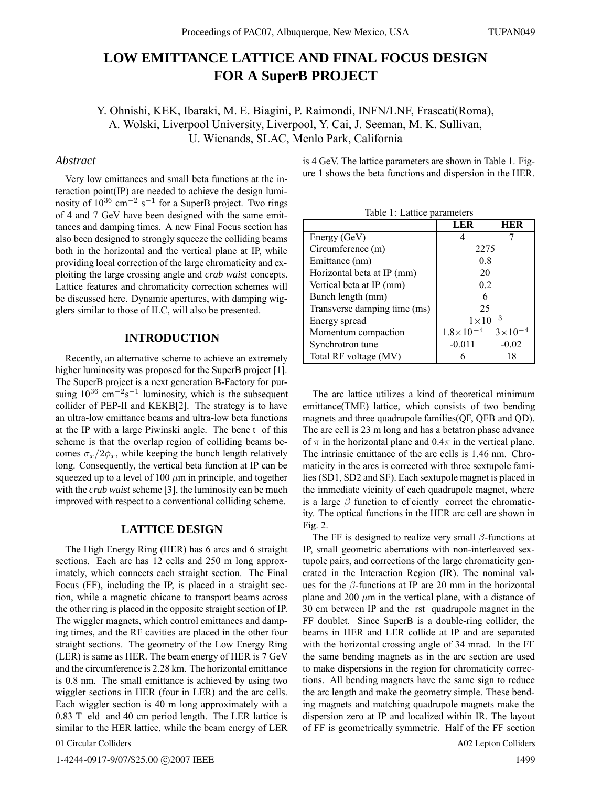## **LOW EMITTANCE LATTICE AND FINAL FOCUS DESIGN FOR A SuperB PROJECT**

Y. Ohnishi, KEK, Ibaraki, M. E. Biagini, P. Raimondi, INFN/LNF, Frascati(Roma), A. Wolski, Liverpool University, Liverpool, Y. Cai, J. Seeman, M. K. Sullivan, U. Wienands, SLAC, Menlo Park, California

## *Abstract*

Very low emittances and small beta functions at the interaction point(IP) are needed to achieve the design luminosity of  $10^{36}$  cm<sup>-2</sup> s<sup>-1</sup> for a SuperB project. Two rings of 4 and 7 GeV have been designed with the same emittances and damping times. A new Final Focus section has also been designed to strongly squeeze the colliding beams both in the horizontal and the vertical plane at IP, while providing local correction of the large chromaticity and exploiting the large crossing angle and *crab waist* concepts. Lattice features and chromaticity correction schemes will be discussed here. Dynamic apertures, with damping wigglers similar to those of ILC, will also be presented.

## **INTRODUCTION**

Recently, an alternative scheme to achieve an extremely higher luminosity was proposed for the SuperB project [1]. The SuperB project is a next generation B-Factory for pursuing  $10^{36}$  cm<sup>-2</sup>s<sup>-1</sup> luminosity, which is the subsequent collider of PEP-II and KEKB[2]. The strategy is to have an ultra-low emittance beams and ultra-low beta functions at the IP with a large Piwinski angle. The bene t of this scheme is that the overlap region of colliding beams becomes  $\sigma_x/2\phi_x$ , while keeping the bunch length relatively long. Consequently, the vertical beta function at IP can be squeezed up to a level of 100  $\mu$ m in principle, and together with the *crab waist* scheme [3], the luminosity can be much improved with respect to a conventional colliding scheme.

#### **LATTICE DESIGN**

The High Energy Ring (HER) has 6 arcs and 6 straight sections. Each arc has 12 cells and 250 m long approximately, which connects each straight section. The Final Focus (FF), including the IP, is placed in a straight section, while a magnetic chicane to transport beams across the other ring is placed in the opposite straight section of IP. The wiggler magnets, which control emittances and damping times, and the RF cavities are placed in the other four straight sections. The geometry of the Low Energy Ring (LER) is same as HER. The beam energy of HER is 7 GeV and the circumference is 2.28 km. The horizontal emittance is 0.8 nm. The small emittance is achieved by using two wiggler sections in HER (four in LER) and the arc cells. Each wiggler section is 40 m long approximately with a 0.83 T eld and 40 cm period length. The LER lattice is similar to the HER lattice, while the beam energy of LER

01 Circular Colliders

1-4244-0917-9/07/\$25.00 C2007 IEEE

is 4 GeV. The lattice parameters are shown in Table 1. Figure 1 shows the beta functions and dispersion in the HER.

Table 1: Lattice parameters

|                              | L E R              |             |
|------------------------------|--------------------|-------------|
| Energy (GeV)                 |                    |             |
| Circumference (m)            | 2275               |             |
| Emittance (nm)               | 0.8                |             |
| Horizontal beta at IP (mm)   | 20                 |             |
| Vertical beta at IP (mm)     | 0.2                |             |
| Bunch length (mm)            |                    |             |
| Transverse damping time (ms) | 25                 |             |
| Energy spread                | $1\times10$        |             |
| Momentum compaction          | $1.8\times10^{-4}$ | $3\times10$ |
| Synchrotron tune             | $-0.011$           | $-0.02$     |
| Total RF voltage (MV)        |                    | 18          |

The arc lattice utilizes a kind of theoretical minimum emittance(TME) lattice, which consists of two bending magnets and three quadrupole families(QF, QFB and QD). The arc cell is 23 m long and has a betatron phase advance of  $\pi$  in the horizontal plane and 0.4 $\pi$  in the vertical plane. The intrinsic emittance of the arc cells is 1.46 nm. Chromaticity in the arcs is corrected with three sextupole families (SD1, SD2 and SF). Each sextupole magnet is placed in the immediate vicinity of each quadrupole magnet, where is a large  $\beta$  function to ef ciently correct the chromaticity. The optical functions in the HER arc cell are shown in Fig. 2.

The FF is designed to realize very small  $\beta$ -functions at IP, small geometric aberrations with non-interleaved sextupole pairs, and corrections of the large chromaticity generated in the Interaction Region (IR). The nominal values for the  $\beta$ -functions at IP are 20 mm in the horizontal plane and 200  $\mu$ m in the vertical plane, with a distance of 30 cm between IP and the rst quadrupole magnet in the FF doublet. Since SuperB is a double-ring collider, the beams in HER and LER collide at IP and are separated with the horizontal crossing angle of 34 mrad. In the FF the same bending magnets as in the arc section are used to make dispersions in the region for chromaticity corrections. All bending magnets have the same sign to reduce the arc length and make the geometry simple. These bending magnets and matching quadrupole magnets make the dispersion zero at IP and localized within IR. The layout of FF is geometrically symmetric. Half of the FF section

A02 Lepton Colliders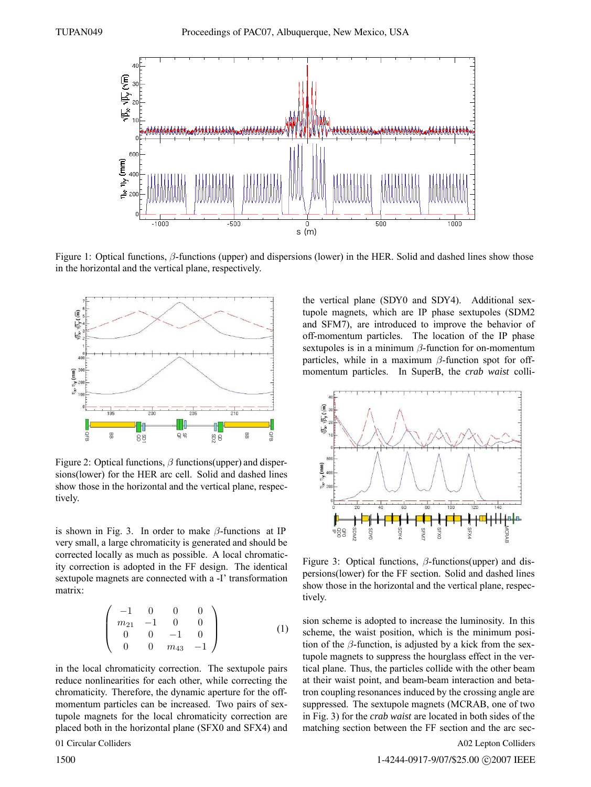

Figure 1: Optical functions, β-functions (upper) and dispersions (lower) in the HER. Solid and dashed lines show those in the horizontal and the vertical plane, respectively.



Figure 2: Optical functions,  $\beta$  functions(upper) and dispersions(lower) for the HER arc cell. Solid and dashed lines show those in the horizontal and the vertical plane, respectively.

is shown in Fig. 3. In order to make  $\beta$ -functions at IP very small, a large chromaticity is generated and should be corrected locally as much as possible. A local chromaticity correction is adopted in the FF design. The identical sextupole magnets are connected with a -I' transformation matrix:

$$
\left(\begin{array}{cccc} -1 & 0 & 0 & 0 \\ m_{21} & -1 & 0 & 0 \\ 0 & 0 & -1 & 0 \\ 0 & 0 & m_{43} & -1 \end{array}\right) (1)
$$

in the local chromaticity correction. The sextupole pairs reduce nonlinearities for each other, while correcting the chromaticity. Therefore, the dynamic aperture for the offmomentum particles can be increased. Two pairs of sextupole magnets for the local chromaticity correction are placed both in the horizontal plane (SFX0 and SFX4) and

01 Circular Colliders

the vertical plane (SDY0 and SDY4). Additional sextupole magnets, which are IP phase sextupoles (SDM2 and SFM7), are introduced to improve the behavior of off-momentum particles. The location of the IP phase sextupoles is in a minimum  $\beta$ -function for on-momentum particles, while in a maximum  $\beta$ -function spot for offmomentum particles. In SuperB, the *crab waist* colli-



Figure 3: Optical functions,  $\beta$ -functions(upper) and dispersions(lower) for the FF section. Solid and dashed lines show those in the horizontal and the vertical plane, respectively.

sion scheme is adopted to increase the luminosity. In this scheme, the waist position, which is the minimum position of the  $\beta$ -function, is adjusted by a kick from the sextupole magnets to suppress the hourglass effect in the vertical plane. Thus, the particles collide with the other beam at their waist point, and beam-beam interaction and betatron coupling resonances induced by the crossing angle are suppressed. The sextupole magnets (MCRAB, one of two in Fig. 3) for the *crab waist* are located in both sides of the matching section between the FF section and the arc sec-

A02 Lepton Colliders